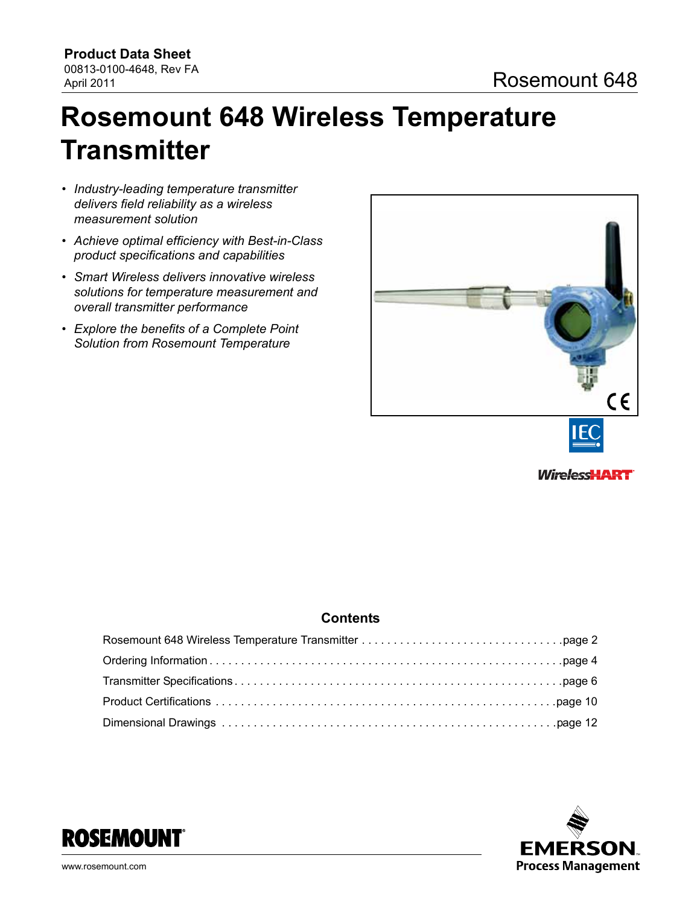# **Rosemount 648 Wireless Temperature Transmitter**

- *Industry-leading temperature transmitter delivers field reliability as a wireless measurement solution*
- *Achieve optimal efficiency with Best-in-Class product specifications and capabilities*
- *Smart Wireless delivers innovative wireless solutions for temperature measurement and overall transmitter performance*
- *Explore the benefits of a Complete Point Solution from Rosemount Temperature*





# **Contents**



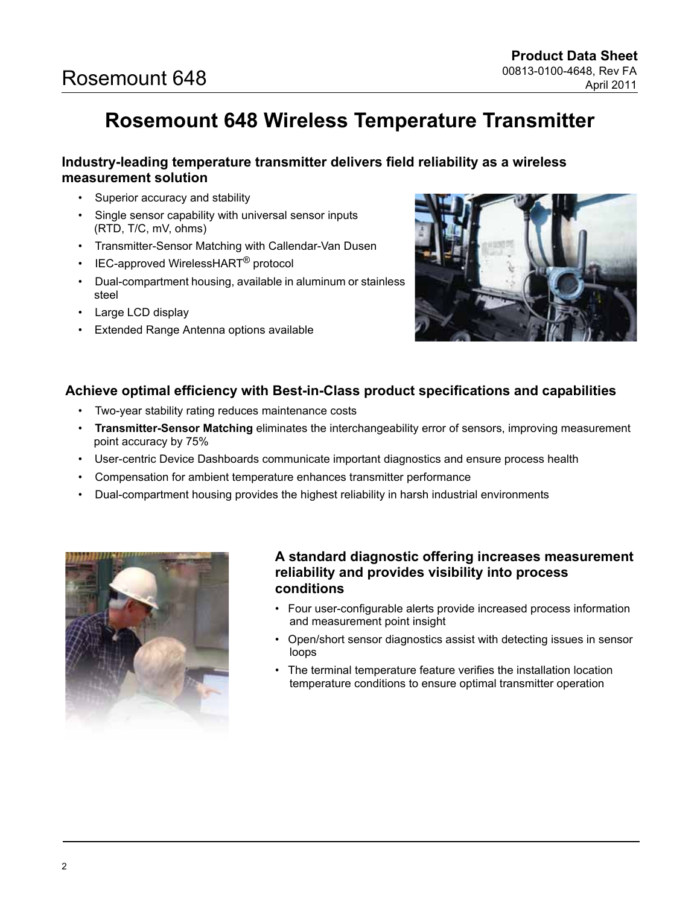# <span id="page-1-0"></span>**Rosemount 648 Wireless Temperature Transmitter**

# **Industry-leading temperature transmitter delivers field reliability as a wireless measurement solution**

- Superior accuracy and stability
- Single sensor capability with universal sensor inputs (RTD, T/C, mV, ohms)
- Transmitter-Sensor Matching with Callendar-Van Dusen
- IEC-approved WirelessHART<sup>®</sup> protocol
- Dual-compartment housing, available in aluminum or stainless steel
- Large LCD display
- Extended Range Antenna options available



## **Achieve optimal efficiency with Best-in-Class product specifications and capabilities**

- Two-year stability rating reduces maintenance costs
- **Transmitter-Sensor Matching** eliminates the interchangeability error of sensors, improving measurement point accuracy by 75%
- User-centric Device Dashboards communicate important diagnostics and ensure process health
- Compensation for ambient temperature enhances transmitter performance
- Dual-compartment housing provides the highest reliability in harsh industrial environments



## **A standard diagnostic offering increases measurement reliability and provides visibility into process conditions**

- Four user-configurable alerts provide increased process information and measurement point insight
- Open/short sensor diagnostics assist with detecting issues in sensor loops
- The terminal temperature feature verifies the installation location temperature conditions to ensure optimal transmitter operation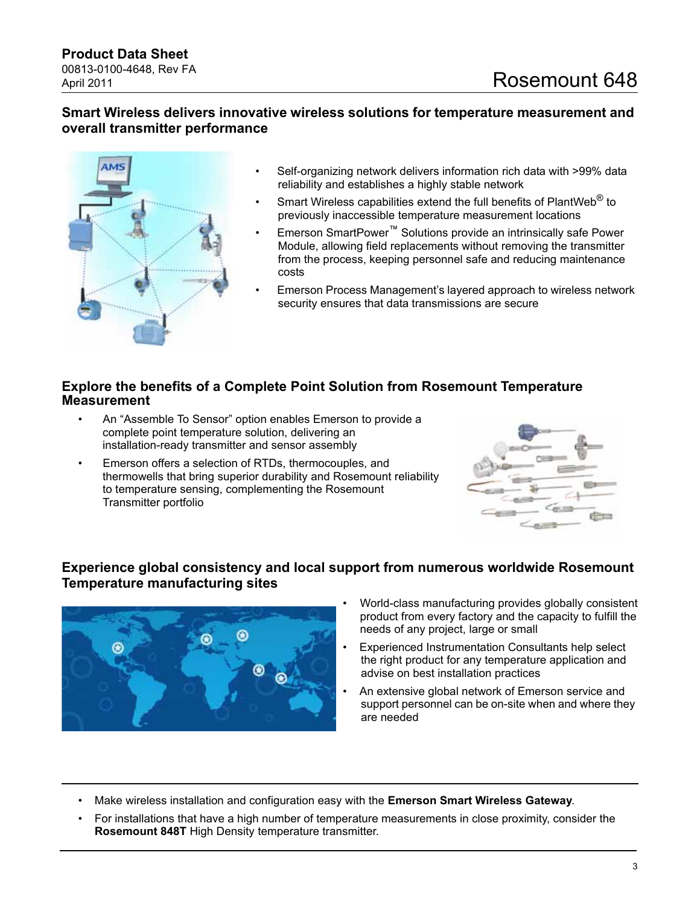# **Smart Wireless delivers innovative wireless solutions for temperature measurement and overall transmitter performance**



- Self-organizing network delivers information rich data with >99% data reliability and establishes a highly stable network
- Smart Wireless capabilities extend the full benefits of PlantWeb<sup>®</sup> to previously inaccessible temperature measurement locations
- Emerson SmartPower™ Solutions provide an intrinsically safe Power Module, allowing field replacements without removing the transmitter from the process, keeping personnel safe and reducing maintenance costs
- Emerson Process Management's layered approach to wireless network security ensures that data transmissions are secure

### **Explore the benefits of a Complete Point Solution from Rosemount Temperature Measurement**

- An "Assemble To Sensor" option enables Emerson to provide a complete point temperature solution, delivering an installation-ready transmitter and sensor assembly
- Emerson offers a selection of RTDs, thermocouples, and thermowells that bring superior durability and Rosemount reliability to temperature sensing, complementing the Rosemount Transmitter portfolio



# **Experience global consistency and local support from numerous worldwide Rosemount Temperature manufacturing sites**



- World-class manufacturing provides globally consistent product from every factory and the capacity to fulfill the needs of any project, large or small
- Experienced Instrumentation Consultants help select the right product for any temperature application and advise on best installation practices
- An extensive global network of Emerson service and support personnel can be on-site when and where they are needed
- Make wireless installation and configuration easy with the **Emerson Smart Wireless Gateway**.
- For installations that have a high number of temperature measurements in close proximity, consider the **Rosemount 848T** High Density temperature transmitter.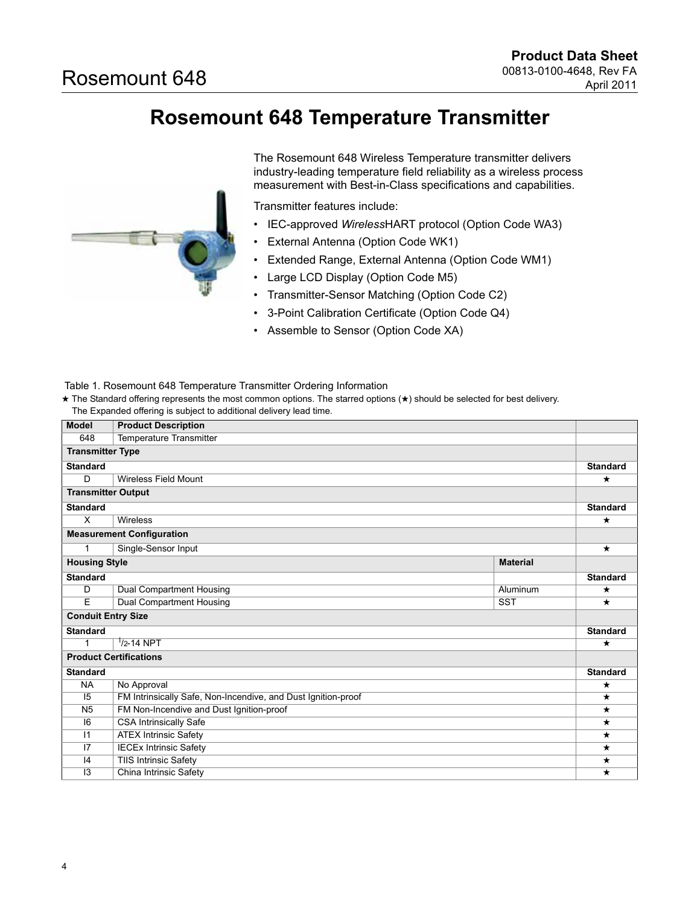# **Rosemount 648 Temperature Transmitter**

<span id="page-3-0"></span>

The Rosemount 648 Wireless Temperature transmitter delivers industry-leading temperature field reliability as a wireless process measurement with Best-in-Class specifications and capabilities.

Transmitter features include:

- IEC-approved *Wireless*HART protocol (Option Code WA3)
- External Antenna (Option Code WK1)
- Extended Range, External Antenna (Option Code WM1)
- Large LCD Display (Option Code M5)
- Transmitter-Sensor Matching (Option Code C2)
- 3-Point Calibration Certificate (Option Code Q4)
- Assemble to Sensor (Option Code XA)

#### Table 1. Rosemount 648 Temperature Transmitter Ordering Information

★ The Standard offering represents the most common options. The starred options (★) should be selected for best delivery. The Expanded offering is subject to additional delivery lead time.

| <b>Model</b>              | <b>Product Description</b>                                    |                 |                 |
|---------------------------|---------------------------------------------------------------|-----------------|-----------------|
| 648                       | <b>Temperature Transmitter</b>                                |                 |                 |
| <b>Transmitter Type</b>   |                                                               |                 |                 |
| <b>Standard</b>           |                                                               |                 | <b>Standard</b> |
| $\overline{D}$            | <b>Wireless Field Mount</b>                                   |                 | $^\star$        |
| <b>Transmitter Output</b> |                                                               |                 |                 |
| <b>Standard</b>           |                                                               |                 | <b>Standard</b> |
| $\overline{\mathsf{x}}$   | Wireless                                                      |                 | $\star$         |
|                           | <b>Measurement Configuration</b>                              |                 |                 |
| 1                         | Single-Sensor Input                                           |                 | $\star$         |
| <b>Housing Style</b>      |                                                               | <b>Material</b> |                 |
| <b>Standard</b>           |                                                               |                 | <b>Standard</b> |
| D                         | Dual Compartment Housing                                      | Aluminum        | ★               |
| F                         | <b>Dual Compartment Housing</b>                               | <b>SST</b>      | $\star$         |
| <b>Conduit Entry Size</b> |                                                               |                 |                 |
| <b>Standard</b>           |                                                               |                 | <b>Standard</b> |
| $1/2 - 14$ NPT<br>1       |                                                               | $\star$         |                 |
|                           | <b>Product Certifications</b>                                 |                 |                 |
| <b>Standard</b>           |                                                               |                 | <b>Standard</b> |
| <b>NA</b>                 | No Approval                                                   |                 | $\star$         |
| 15                        | FM Intrinsically Safe, Non-Incendive, and Dust Ignition-proof |                 | $\star$         |
| N <sub>5</sub>            | FM Non-Incendive and Dust Ignition-proof                      |                 | $\star$         |
| 16                        | <b>CSA Intrinsically Safe</b>                                 |                 | $\star$         |
| 11                        | <b>ATEX Intrinsic Safety</b>                                  |                 | $\star$         |
| 17                        | <b>IECEx Intrinsic Safety</b>                                 |                 | ★               |
| 4                         | <b>TIIS Intrinsic Safety</b>                                  |                 | $\star$         |
| 13                        | China Intrinsic Safety                                        |                 | $\star$         |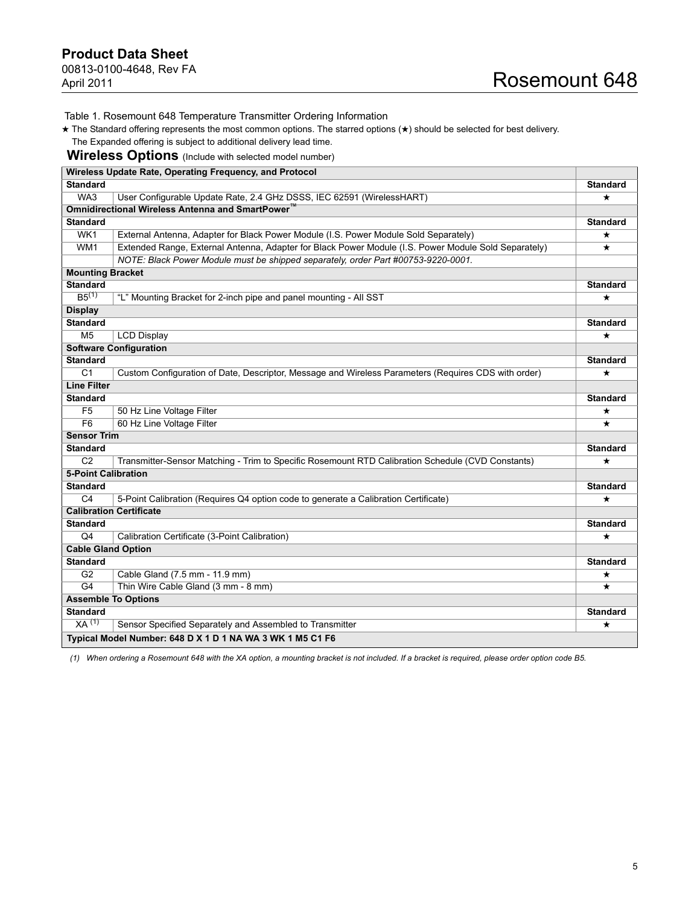Table 1. Rosemount 648 Temperature Transmitter Ordering Information

★ The Standard offering represents the most common options. The starred options (★) should be selected for best delivery. The Expanded offering is subject to additional delivery lead time.

**Wireless Options** (Include with selected model number)

|                            | Wireless Update Rate, Operating Frequency, and Protocol                                              |                 |
|----------------------------|------------------------------------------------------------------------------------------------------|-----------------|
| <b>Standard</b>            |                                                                                                      |                 |
| W <sub>A3</sub>            | User Configurable Update Rate, 2.4 GHz DSSS, IEC 62591 (WirelessHART)                                | $\star$         |
|                            | <b>Omnidirectional Wireless Antenna and SmartPower</b>                                               |                 |
| <b>Standard</b>            |                                                                                                      |                 |
| WK <sub>1</sub>            | External Antenna, Adapter for Black Power Module (I.S. Power Module Sold Separately)                 | $\star$         |
| WM <sub>1</sub>            | Extended Range, External Antenna, Adapter for Black Power Module (I.S. Power Module Sold Separately) | $\star$         |
|                            | NOTE: Black Power Module must be shipped separately, order Part #00753-9220-0001.                    |                 |
| <b>Mounting Bracket</b>    |                                                                                                      |                 |
| <b>Standard</b>            |                                                                                                      | <b>Standard</b> |
| $B5^{(1)}$                 | "L" Mounting Bracket for 2-inch pipe and panel mounting - All SST                                    | $\star$         |
| <b>Display</b>             |                                                                                                      |                 |
| <b>Standard</b>            |                                                                                                      | <b>Standard</b> |
| M <sub>5</sub>             | <b>LCD Display</b>                                                                                   | $\star$         |
|                            | <b>Software Configuration</b>                                                                        |                 |
| <b>Standard</b>            |                                                                                                      | <b>Standard</b> |
| $\overline{C1}$            | Custom Configuration of Date, Descriptor, Message and Wireless Parameters (Requires CDS with order)  | $\star$         |
| <b>Line Filter</b>         |                                                                                                      |                 |
| <b>Standard</b>            |                                                                                                      | <b>Standard</b> |
| F5                         | 50 Hz Line Voltage Filter                                                                            | ★               |
| F6                         | 60 Hz Line Voltage Filter                                                                            | $\star$         |
| <b>Sensor Trim</b>         |                                                                                                      |                 |
| <b>Standard</b>            |                                                                                                      | <b>Standard</b> |
| $\overline{C2}$            | Transmitter-Sensor Matching - Trim to Specific Rosemount RTD Calibration Schedule (CVD Constants)    | $\star$         |
| <b>5-Point Calibration</b> |                                                                                                      |                 |
| <b>Standard</b>            |                                                                                                      | <b>Standard</b> |
| $\overline{C4}$            | 5-Point Calibration (Requires Q4 option code to generate a Calibration Certificate)                  | $\star$         |
|                            | <b>Calibration Certificate</b>                                                                       |                 |
| <b>Standard</b>            |                                                                                                      | <b>Standard</b> |
| Q <sub>4</sub>             | Calibration Certificate (3-Point Calibration)                                                        | $\star$         |
| <b>Cable Gland Option</b>  |                                                                                                      |                 |
| <b>Standard</b>            |                                                                                                      | <b>Standard</b> |
| G2                         | Cable Gland (7.5 mm - 11.9 mm)                                                                       | ★               |
| G4                         | Thin Wire Cable Gland (3 mm - 8 mm)                                                                  | $\star$         |
| <b>Assemble To Options</b> |                                                                                                      |                 |
| <b>Standard</b>            |                                                                                                      | <b>Standard</b> |
| XA <sup>(1)</sup>          | Sensor Specified Separately and Assembled to Transmitter                                             | $\star$         |
|                            | Typical Model Number: 648 D X 1 D 1 NA WA 3 WK 1 M5 C1 F6                                            |                 |

*(1) When ordering a Rosemount 648 with the XA option, a mounting bracket is not included. If a bracket is required, please order option code B5.*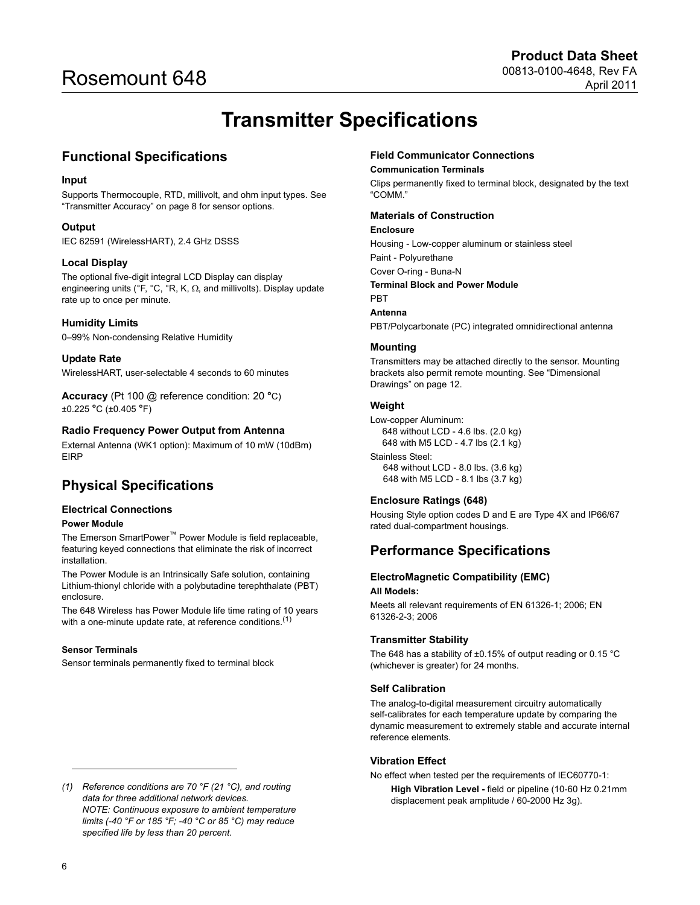# **Transmitter Specifications**

# <span id="page-5-0"></span>**Functional Specifications**

#### **Input**

Supports Thermocouple, RTD, millivolt, and ohm input types. See ["Transmitter Accuracy" on page 8](#page-7-0) for sensor options.

#### **Output**

IEC 62591 (WirelessHART), 2.4 GHz DSSS

#### **Local Display**

The optional five-digit integral LCD Display can display engineering units ( ${}^{\circ}$ F,  ${}^{\circ}$ C,  ${}^{\circ}$ R, K,  $\Omega$ , and millivolts). Display update rate up to once per minute.

#### **Humidity Limits**

0–99% Non-condensing Relative Humidity

#### **Update Rate**

WirelessHART, user-selectable 4 seconds to 60 minutes

**Accuracy** (Pt 100 @ reference condition: 20 **°**C) ±0.225 **°**C (±0.405 **°**F)

#### **Radio Frequency Power Output from Antenna**

External Antenna (WK1 option): Maximum of 10 mW (10dBm) EIRP

# **Physical Specifications**

#### **Electrical Connections**

#### **Power Module**

The Emerson SmartPower™ Power Module is field replaceable, featuring keyed connections that eliminate the risk of incorrect installation.

The Power Module is an Intrinsically Safe solution, containing Lithium-thionyl chloride with a polybutadine terephthalate (PBT) enclosure.

The 648 Wireless has Power Module life time rating of 10 years with a one-minute update rate, at reference conditions.<sup>(1)</sup>

#### **Sensor Terminals**

Sensor terminals permanently fixed to terminal block

### **Field Communicator Connections**

#### **Communication Terminals**

Clips permanently fixed to terminal block, designated by the text "COMM."

#### **Materials of Construction**

#### **Enclosure**

Housing - Low-copper aluminum or stainless steel Paint - Polyurethane Cover O-ring - Buna-N **Terminal Block and Power Module**

**PRT** 

#### **Antenna**

PBT/Polycarbonate (PC) integrated omnidirectional antenna

#### **Mounting**

Transmitters may be attached directly to the sensor. Mounting brackets also permit remote mounting. [See "Dimensional](#page-11-0)  [Drawings" on page 12](#page-11-0).

#### **Weight**

Low-copper Aluminum: 648 without LCD - 4.6 lbs. (2.0 kg) 648 with M5 LCD - 4.7 lbs (2.1 kg) Stainless Steel: 648 without LCD - 8.0 lbs. (3.6 kg) 648 with M5 LCD - 8.1 lbs (3.7 kg)

#### **Enclosure Ratings (648)**

Housing Style option codes D and E are Type 4X and IP66/67 rated dual-compartment housings.

### **Performance Specifications**

#### **ElectroMagnetic Compatibility (EMC)**

#### **All Models:**

Meets all relevant requirements of EN 61326-1; 2006; EN 61326-2-3; 2006

#### **Transmitter Stability**

The 648 has a stability of ±0.15% of output reading or 0.15 °C (whichever is greater) for 24 months.

#### **Self Calibration**

The analog-to-digital measurement circuitry automatically self-calibrates for each temperature update by comparing the dynamic measurement to extremely stable and accurate internal reference elements.

#### **Vibration Effect**

No effect when tested per the requirements of IEC60770-1:

**High Vibration Level -** field or pipeline (10-60 Hz 0.21mm displacement peak amplitude / 60-2000 Hz 3g).

<span id="page-5-1"></span>*(1) Reference conditions are 70 °F (21 °C), and routing data for three additional network devices. NOTE: Continuous exposure to ambient temperature limits (-40 °F or 185 °F; -40 °C or 85 °C) may reduce specified life by less than 20 percent.*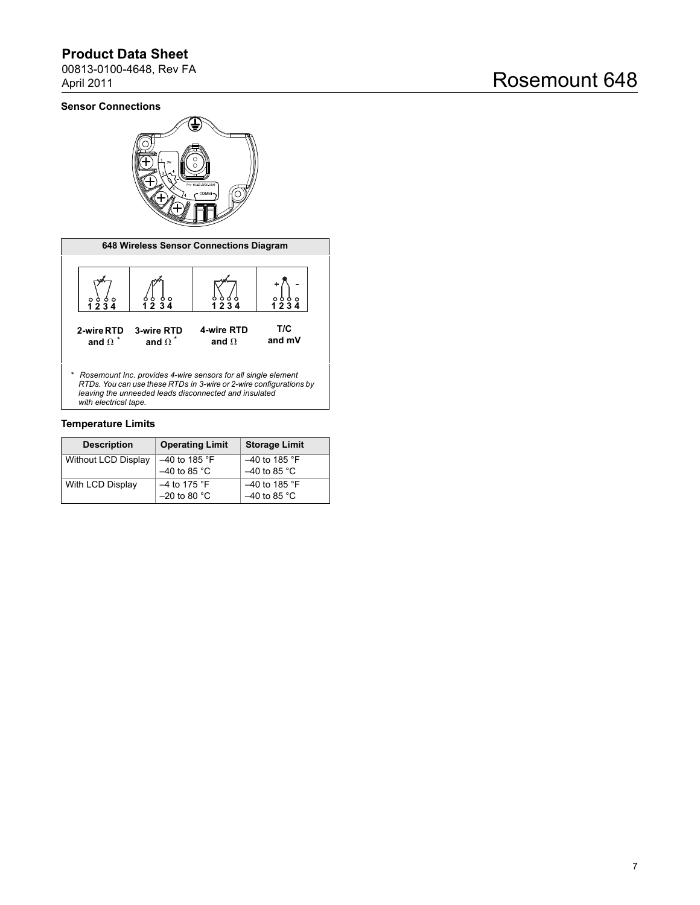# **Product Data Sheet**

00813-0100-4648, Rev FA April 2011

#### **Sensor Connections**

# Rosemount 648



*\* Rosemount Inc. provides 4-wire sensors for all single element RTDs. You can use these RTDs in 3-wire or 2-wire configurations by leaving the unneeded leads disconnected and insulated with electrical tape.*

#### **Temperature Limits**

| <b>Description</b>         | <b>Operating Limit</b> | <b>Storage Limit</b> |
|----------------------------|------------------------|----------------------|
| <b>Without LCD Display</b> | $-40$ to 185 °F        | $-40$ to 185 °F      |
|                            | $-40$ to 85 °C         | $-40$ to 85 °C       |
| With LCD Display           | $-4$ to 175 °F         | $-40$ to 185 °F      |
|                            | $-20$ to 80 °C         | $-40$ to 85 °C       |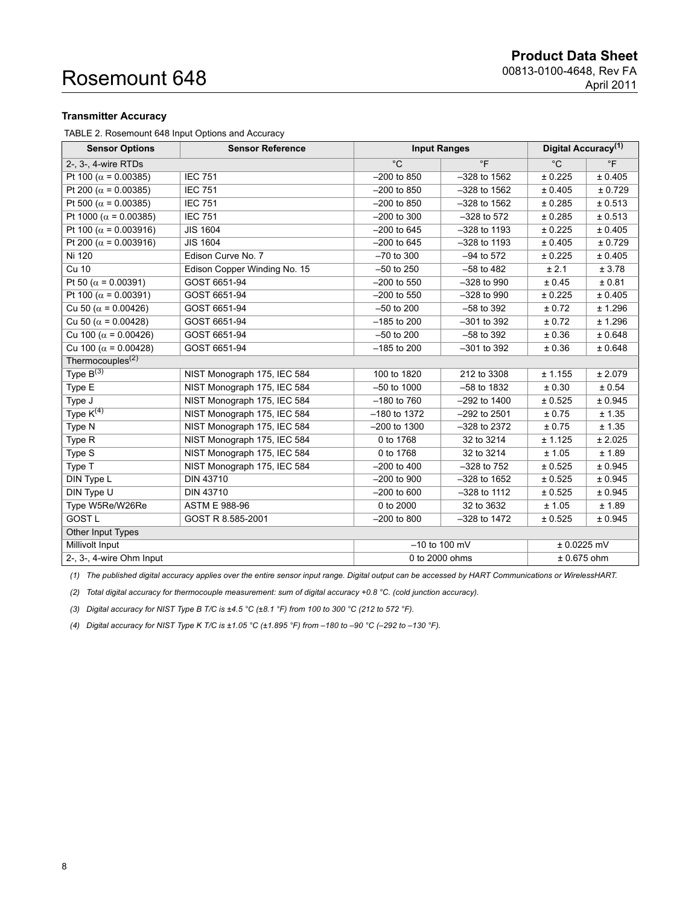### <span id="page-7-0"></span>**Transmitter Accuracy**

TABLE 2. Rosemount 648 Input Options and Accuracy

| <b>Sensor Options</b>         | <b>Sensor Reference</b>      | <b>Input Ranges</b>                    |                  | Digital Accuracy <sup>(1)</sup> |                          |
|-------------------------------|------------------------------|----------------------------------------|------------------|---------------------------------|--------------------------|
| 2-, 3-, 4-wire RTDs           |                              | $\overline{\circ_F}$<br>$\overline{C}$ |                  | $\overline{C}$                  | $\overline{\phantom{a}}$ |
| Pt 100 ( $\alpha$ = 0.00385)  | <b>IEC 751</b>               | $-200$ to 850                          | $-328$ to 1562   | ± 0.225                         | ± 0.405                  |
| Pt 200 ( $\alpha$ = 0.00385)  | <b>IEC 751</b>               | $-200$ to 850                          | $-328$ to $1562$ | ± 0.405                         | ± 0.729                  |
| Pt 500 ( $\alpha$ = 0.00385)  | <b>IEC 751</b>               | $-200$ to 850                          | $-328$ to 1562   | ± 0.285                         | ± 0.513                  |
| Pt 1000 ( $\alpha$ = 0.00385) | <b>IEC 751</b>               | $-200$ to 300                          | $-328$ to 572    | ± 0.285                         | ± 0.513                  |
| Pt 100 ( $\alpha$ = 0.003916) | <b>JIS 1604</b>              | $-200$ to 645                          | $-328$ to 1193   | $\frac{1}{10}$ 0.225            | ± 0.405                  |
| Pt 200 ( $\alpha$ = 0.003916) | <b>JIS 1604</b>              | $-200$ to 645                          | $-328$ to 1193   | ± 0.405                         | ± 0.729                  |
| Ni 120                        | Edison Curve No. 7           | $-70$ to 300                           | $-94$ to 572     | ± 0.225                         | ± 0.405                  |
| <b>Cu 10</b>                  | Edison Copper Winding No. 15 | $-50$ to 250                           | $-58$ to 482     | ± 2.1                           | ± 3.78                   |
| Pt 50 ( $\alpha$ = 0.00391)   | GOST 6651-94                 | $-200$ to 550                          | $-328$ to 990    | ± 0.45                          | ± 0.81                   |
| Pt 100 ( $\alpha$ = 0.00391)  | GOST 6651-94                 | $-200$ to 550                          | $-328$ to 990    | ± 0.225                         | ± 0.405                  |
| Cu 50 ( $\alpha$ = 0.00426)   | GOST 6651-94                 | $-50$ to 200                           | $-58$ to 392     | ± 0.72                          | ± 1.296                  |
| Cu 50 ( $\alpha$ = 0.00428)   | GOST 6651-94                 | $-185$ to 200                          | $-301$ to 392    | ± 0.72                          | ± 1.296                  |
| Cu 100 ( $\alpha$ = 0.00426)  | GOST 6651-94                 | $-50$ to 200                           | $-58$ to 392     | ± 0.36                          | ± 0.648                  |
| Cu 100 ( $\alpha$ = 0.00428)  | GOST 6651-94                 | $-185$ to 200                          | $-301$ to 392    | ± 0.36                          | ± 0.648                  |
| Thermocouples <sup>(2)</sup>  |                              |                                        |                  |                                 |                          |
| Type $B^{(3)}$                | NIST Monograph 175, IEC 584  | 100 to 1820                            | 212 to 3308      | ± 1.155                         | ± 2.079                  |
| Type E                        | NIST Monograph 175, IEC 584  | $-50$ to $1000$                        | $-58$ to 1832    | ± 0.30                          | ± 0.54                   |
| Type J                        | NIST Monograph 175, IEC 584  | $-180$ to $760$                        | $-292$ to 1400   | ± 0.525                         | ± 0.945                  |
| Type $K^{(4)}$                | NIST Monograph 175, IEC 584  | $-180$ to 1372                         | $-292$ to 2501   | ± 0.75                          | ± 1.35                   |
| Type N                        | NIST Monograph 175, IEC 584  | -200 to 1300                           | $-328$ to 2372   | ± 0.75                          | ± 1.35                   |
| Type R                        | NIST Monograph 175, IEC 584  | 0 to 1768                              | 32 to 3214       | ± 1.125                         | ± 2.025                  |
| Type S                        | NIST Monograph 175, IEC 584  | 0 to 1768                              | 32 to 3214       | ± 1.05                          | ± 1.89                   |
| Type T                        | NIST Monograph 175, IEC 584  | $-200$ to $400$                        | $-328$ to $752$  | ± 0.525                         | ± 0.945                  |
| DIN Type L                    | DIN 43710                    | $-200$ to 900                          | $-328$ to 1652   | ± 0.525                         | ± 0.945                  |
| DIN Type U                    | <b>DIN 43710</b>             | $-200$ to 600                          | $-328$ to 1112   | ± 0.525                         | ± 0.945                  |
| Type W5Re/W26Re               | <b>ASTM E 988-96</b>         | 0 to 2000                              | 32 to 3632       | ± 1.05                          | ± 1.89                   |
| <b>GOST L</b>                 | GOST R 8.585-2001            | $-200$ to 800                          | $-328$ to 1472   | ± 0.525                         | $\pm 0.945$              |
| Other Input Types             |                              |                                        |                  |                                 |                          |
| Millivolt Input               |                              |                                        | $-10$ to 100 mV  | $± 0.0225$ mV                   |                          |
| 2-, 3-, 4-wire Ohm Input      |                              |                                        | 0 to 2000 ohms   | $± 0.675$ ohm                   |                          |

*(1) The published digital accuracy applies over the entire sensor input range. Digital output can be accessed by HART Communications or WirelessHART.*

*(2) Total digital accuracy for thermocouple measurement: sum of digital accuracy +0.8 °C. (cold junction accuracy).*

*(3) Digital accuracy for NIST Type B T/C is ±4.5 °C (±8.1 °F) from 100 to 300 °C (212 to 572 °F).*

*(4) Digital accuracy for NIST Type K T/C is ±1.05 °C (±1.895 °F) from –180 to –90 °C (–292 to –130 °F).*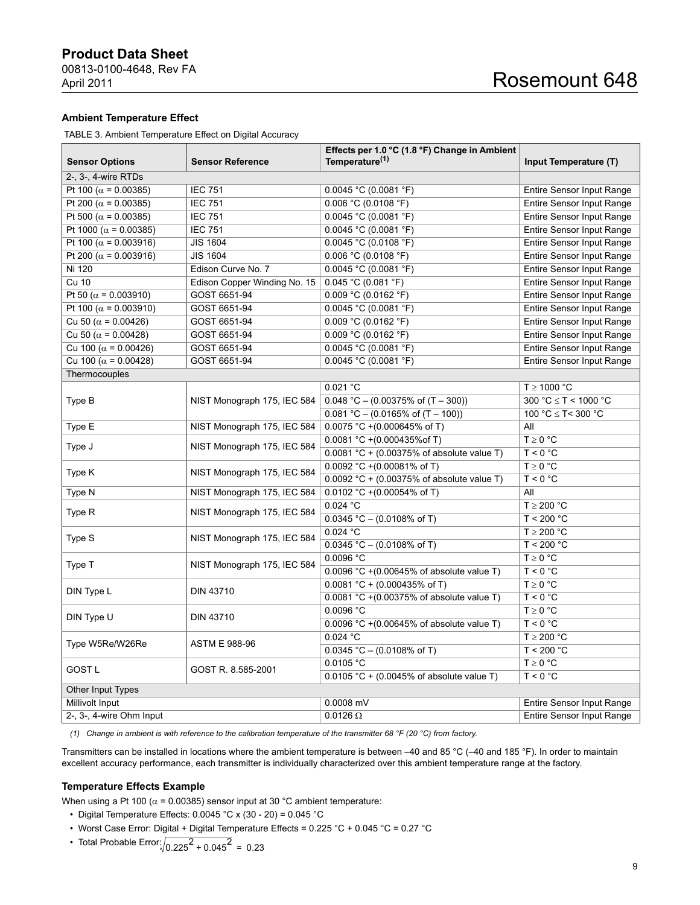### **Product Data Sheet**

00813-0100-4648, Rev FA April 2011

# Rosemount 648

#### **Ambient Temperature Effect**

TABLE 3. Ambient Temperature Effect on Digital Accuracy

| Temperature <sup>(1)</sup><br><b>Sensor Options</b><br>Input Temperature (T)<br><b>Sensor Reference</b><br>2-, 3-, 4-wire RTDs |  |
|--------------------------------------------------------------------------------------------------------------------------------|--|
|                                                                                                                                |  |
|                                                                                                                                |  |
| Pt 100 ( $\alpha$ = 0.00385)<br>0.0045 °C (0.0081 °F)<br><b>IEC 751</b><br>Entire Sensor Input Range<br><b>IEC 751</b>         |  |
| Pt 200 ( $\alpha$ = 0.00385)<br>0.006 °C (0.0108 °F)<br>Entire Sensor Input Range                                              |  |
| Pt 500 ( $\alpha$ = 0.00385)<br>0.0045 °C (0.0081 °F)<br><b>IEC 751</b><br>Entire Sensor Input Range                           |  |
| Pt 1000 ( $\alpha$ = 0.00385)<br>0.0045 °C (0.0081 °F)<br><b>IEC 751</b><br>Entire Sensor Input Range                          |  |
| Pt 100 ( $\alpha$ = 0.003916)<br><b>JIS 1604</b><br>0.0045 °C (0.0108 °F)<br>Entire Sensor Input Range                         |  |
| Pt 200 ( $\alpha$ = 0.003916)<br><b>JIS 1604</b><br>0.006 °C (0.0108 °F)<br>Entire Sensor Input Range                          |  |
| Ni 120<br>Edison Curve No. 7<br>0.0045 °C (0.0081 °F)<br>Entire Sensor Input Range                                             |  |
| Cu 10<br>0.045 °C (0.081 °F)<br>Edison Copper Winding No. 15<br>Entire Sensor Input Range                                      |  |
| Pt 50 ( $\alpha$ = 0.003910)<br>0.009 °C (0.0162 °F)<br>GOST 6651-94<br>Entire Sensor Input Range                              |  |
| Pt 100 ( $\alpha$ = 0.003910)<br>GOST 6651-94<br>0.0045 °C (0.0081 °F)<br><b>Entire Sensor Input Range</b>                     |  |
| Cu 50 ( $\alpha$ = 0.00426)<br>0.009 °C (0.0162 °F)<br>GOST 6651-94<br>Entire Sensor Input Range                               |  |
| 0.009 °C (0.0162 °F)<br>Cu 50 ( $\alpha$ = 0.00428)<br>GOST 6651-94<br>Entire Sensor Input Range                               |  |
| 0.0045 °C (0.0081 °F)<br>Cu 100 ( $\alpha$ = 0.00426)<br>GOST 6651-94<br>Entire Sensor Input Range                             |  |
| Cu 100 ( $\alpha$ = 0.00428)<br>0.0045 °C (0.0081 °F)<br>GOST 6651-94<br>Entire Sensor Input Range                             |  |
| Thermocouples                                                                                                                  |  |
| 0.021 °C<br>$T \geq 1000 °C$                                                                                                   |  |
| 300 °C $\leq$ T < 1000 °C<br>$0.048 °C - (0.00375\% \text{ of } (T - 300))$<br>Type B<br>NIST Monograph 175, IEC 584           |  |
| 100 °C ≤ T< 300 °C<br>$0.081$ °C – (0.0165% of (T – 100))                                                                      |  |
| $0.0075 °C$ +(0.000645% of T)<br>Type E<br>NIST Monograph 175, IEC 584<br>All                                                  |  |
| $0.0081 °C + (0.000435\% of T)$<br>$T \geq 0$ °C<br>NIST Monograph 175, IEC 584<br>Type J                                      |  |
| 0.0081 °C + (0.00375% of absolute value T)<br>$T < 0$ °C                                                                       |  |
| $T \geq 0$ °C<br>$0.0092$ °C +(0.00081% of T)<br>Type K<br>NIST Monograph 175, IEC 584                                         |  |
| 0.0092 °C + (0.00375% of absolute value T)<br>$T < 0$ °C                                                                       |  |
| Type N<br>NIST Monograph 175, IEC 584<br>0.0102 °C +(0.00054% of T)<br>All                                                     |  |
| 0.024 °C<br>$T \geq 200 \degree C$<br>NIST Monograph 175, IEC 584<br>Type R                                                    |  |
| $0.0345$ °C – (0.0108% of T)<br>T < 200 °C                                                                                     |  |
| 0.024 °C<br>$T \geq 200 °C$<br>Type S<br>NIST Monograph 175, IEC 584                                                           |  |
| $0.0345 °C - (0.0108% of T)$<br>T < 200 °C                                                                                     |  |
| 0.0096 °C<br>$T \geq 0$ °C<br>NIST Monograph 175, IEC 584                                                                      |  |
| Type T<br>$T < 0$ °C<br>0.0096 °C +(0.00645% of absolute value T)                                                              |  |
| $0.0081 °C + (0.000435% of T)$<br>$T \geq 0$ °C<br><b>DIN 43710</b>                                                            |  |
| DIN Type L<br>T < 0 °C<br>0.0081 °C +(0.00375% of absolute value T)                                                            |  |
| 0.0096 °C<br>$T \geq 0$ °C                                                                                                     |  |
| DIN Type U<br>DIN 43710<br>$T < 0$ °C<br>0.0096 °C +(0.00645% of absolute value T)                                             |  |
| 0.024 °C<br>$T \geq 200 °C$                                                                                                    |  |
| Type W5Re/W26Re<br><b>ASTM E 988-96</b><br>$0.0345$ °C – (0.0108% of T)<br>T < 200 °C                                          |  |
| 0.0105 °C<br>$T \geq 0$ °C                                                                                                     |  |
| <b>GOST L</b><br>GOST R. 8.585-2001<br>T < 0 °C<br>$0.0105 °C + (0.0045% of absolute value T)$                                 |  |
| Other Input Types                                                                                                              |  |
| Millivolt Input<br>Entire Sensor Input Range<br>$0.0008$ mV                                                                    |  |
| 2-, 3-, 4-wire Ohm Input<br>$0.0126 \Omega$<br>Entire Sensor Input Range                                                       |  |

*(1) Change in ambient is with reference to the calibration temperature of the transmitter 68 °F (20 °C) from factory.*

Transmitters can be installed in locations where the ambient temperature is between –40 and 85 °C (–40 and 185 °F). In order to maintain excellent accuracy performance, each transmitter is individually characterized over this ambient temperature range at the factory.

#### **Temperature Effects Example**

When using a Pt 100 ( $\alpha$  = 0.00385) sensor input at 30 °C ambient temperature:

- Digital Temperature Effects: 0.0045 °C x (30 20) = 0.045 °C
- Worst Case Error: Digital + Digital Temperature Effects = 0.225 °C + 0.045 °C = 0.27 °C
- Total Probable Error: $\sqrt{0.225^2 + 0.045^2}$  = 0.23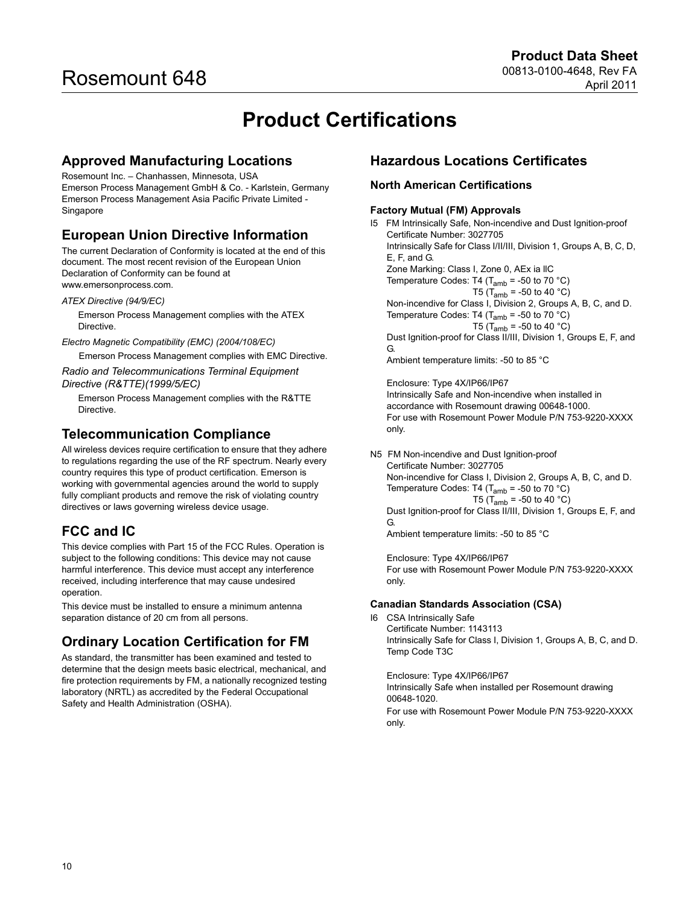# **Product Certifications**

# <span id="page-9-0"></span>**Approved Manufacturing Locations**

Rosemount Inc. – Chanhassen, Minnesota, USA Emerson Process Management GmbH & Co. - Karlstein, Germany Emerson Process Management Asia Pacific Private Limited - Singapore

# **European Union Directive Information**

The current Declaration of Conformity is located at the end of this document. The most recent revision of the European Union Declaration of Conformity can be found at www.emersonprocess.com.

#### *ATEX Directive (94/9/EC)*

Emerson Process Management complies with the ATEX **Directive** 

*Electro Magnetic Compatibility (EMC) (2004/108/EC)* Emerson Process Management complies with EMC Directive.

*Radio and Telecommunications Terminal Equipment* 

## *Directive (R&TTE)(1999/5/EC)*

Emerson Process Management complies with the R&TTE **Directive** 

## **Telecommunication Compliance**

All wireless devices require certification to ensure that they adhere to regulations regarding the use of the RF spectrum. Nearly every country requires this type of product certification. Emerson is working with governmental agencies around the world to supply fully compliant products and remove the risk of violating country directives or laws governing wireless device usage.

# **FCC and IC**

This device complies with Part 15 of the FCC Rules. Operation is subject to the following conditions: This device may not cause harmful interference. This device must accept any interference received, including interference that may cause undesired operation.

This device must be installed to ensure a minimum antenna separation distance of 20 cm from all persons.

# **Ordinary Location Certification for FM**

As standard, the transmitter has been examined and tested to determine that the design meets basic electrical, mechanical, and fire protection requirements by FM, a nationally recognized testing laboratory (NRTL) as accredited by the Federal Occupational Safety and Health Administration (OSHA).

# **Hazardous Locations Certificates**

### **North American Certifications**

#### **Factory Mutual (FM) Approvals**

I5 FM Intrinsically Safe, Non-incendive and Dust Ignition-proof Certificate Number: 3027705 Intrinsically Safe for Class I/II/III, Division 1, Groups A, B, C, D, E, F, and G. Zone Marking: Class I, Zone 0, AEx ia llC Temperature Codes: T4  $(T_{amb} = -50$  to 70 °C) T5 (T<sub>amb</sub> = -50 to 40 °C) Non-incendive for Class I, Division 2, Groups A, B, C, and D. Temperature Codes: T4 ( $T_{amb}$  = -50 to 70 °C) T5 ( $T_{amb}$  = -50 to 40 °C) Dust Ignition-proof for Class II/III, Division 1, Groups E, F, and G. Ambient temperature limits: -50 to 85 °C

Enclosure: Type 4X/IP66/IP67 Intrinsically Safe and Non-incendive when installed in accordance with Rosemount drawing 00648-1000. For use with Rosemount Power Module P/N 753-9220-XXXX only.

N5 FM Non-incendive and Dust Ignition-proof Certificate Number: 3027705 Non-incendive for Class I, Division 2, Groups A, B, C, and D. Temperature Codes: T4  $(T<sub>amb</sub> = -50$  to 70 °C) T5 (T<sub>amb</sub> = -50 to 40 °C) Dust Ignition-proof for Class II/III, Division 1, Groups E, F, and G. Ambient temperature limits: -50 to 85 °C

Enclosure: Type 4X/IP66/IP67 For use with Rosemount Power Module P/N 753-9220-XXXX only.

#### **Canadian Standards Association (CSA)**

I6 CSA Intrinsically Safe Certificate Number: 1143113 Intrinsically Safe for Class I, Division 1, Groups A, B, C, and D. Temp Code T3C

Enclosure: Type 4X/IP66/IP67 Intrinsically Safe when installed per Rosemount drawing 00648-1020. For use with Rosemount Power Module P/N 753-9220-XXXX only.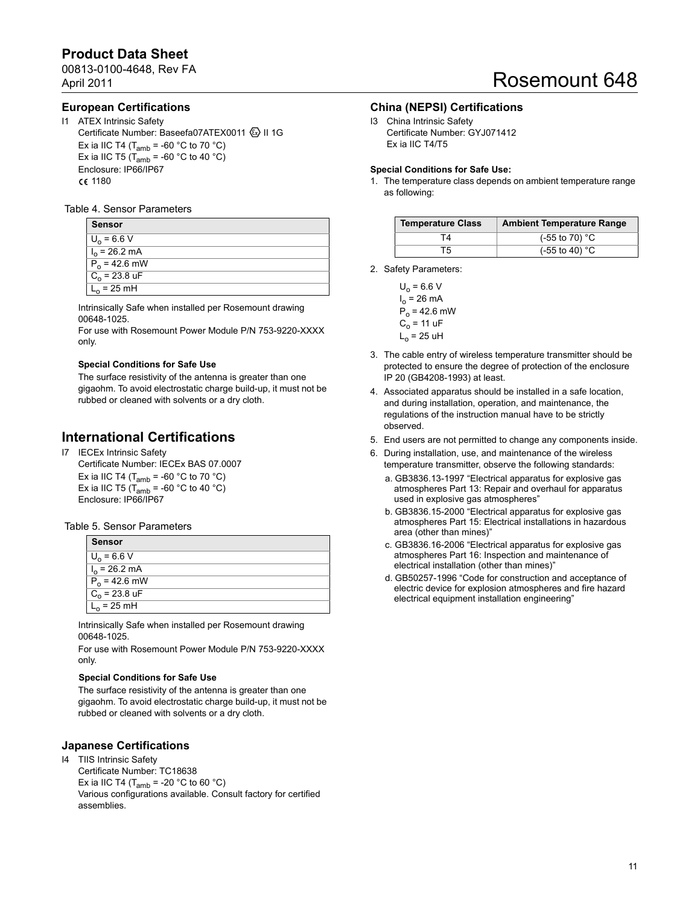# **Product Data Sheet**

00813-0100-4648, Rev FA April 2011

# Rosemount 648

#### **European Certifications**

I1 ATEX Intrinsic Safety Certificate Number: Baseefa07ATEX0011 & II 1G Ex ia IIC T4 ( $T_{amb}$  = -60 °C to 70 °C) Ex ia IIC T5 ( $T_{amb}$  = -60 °C to 40 °C) Enclosure: IP66/IP67 C€ 1180

#### Table 4. Sensor Parameters

| Sensor                  |
|-------------------------|
| $U_0 = 6.6 V$           |
| $I_0 = 26.2 \text{ mA}$ |
| $P_0 = 42.6$ mW         |
| $C_0 = 23.8 \text{ uF}$ |
| $L_0 = 25$ mH           |

Intrinsically Safe when installed per Rosemount drawing 00648-1025.

For use with Rosemount Power Module P/N 753-9220-XXXX only.

#### **Special Conditions for Safe Use**

The surface resistivity of the antenna is greater than one gigaohm. To avoid electrostatic charge build-up, it must not be rubbed or cleaned with solvents or a dry cloth.

### **International Certifications**

I7 IECEx Intrinsic Safety

Certificate Number: IECEx BAS 07.0007 Ex ia IIC T4 (T $_{amb}$  = -60 °C to 70 °C) Ex ia IIC T5 (T $_{amb}$  = -60 °C to 40 °C) Enclosure: IP66/IP67

#### Table 5. Sensor Parameters

| Sensor                  |
|-------------------------|
| $U_0 = 6.6 V$           |
| $I_0 = 26.2 \text{ mA}$ |
| $P_0 = 42.6$ mW         |
| $C_0 = 23.8$ uF         |
| $L_0 = 25 \text{ mH}$   |

Intrinsically Safe when installed per Rosemount drawing 00648-1025.

For use with Rosemount Power Module P/N 753-9220-XXXX only.

#### **Special Conditions for Safe Use**

The surface resistivity of the antenna is greater than one gigaohm. To avoid electrostatic charge build-up, it must not be rubbed or cleaned with solvents or a dry cloth.

#### **Japanese Certifications**

I4 TIIS Intrinsic Safety

Certificate Number: TC18638 Ex ia IIC T4 ( $T_{amb}$  = -20 °C to 60 °C) Various configurations available. Consult factory for certified assemblies.

#### **China (NEPSI) Certifications**

I3 China Intrinsic Safety Certificate Number: GYJ071412 Ex ia IIC T4/T5

#### **Special Conditions for Safe Use:**

1. The temperature class depends on ambient temperature range as following:

| <b>Temperature Class</b> | <b>Ambient Temperature Range</b> |
|--------------------------|----------------------------------|
| T4                       | $(-55 \text{ to } 70)$ °C        |
| Т5                       | $(-55 \text{ to } 40)$ °C        |

2. Safety Parameters:

| $U_0$ = 6.6 V         |
|-----------------------|
| $I_0 = 26 \text{ mA}$ |
| $P_0$ = 42.6 mW       |
| $C_0 = 11$ uF         |
| $L_0$ = 25 uH         |

- 3. The cable entry of wireless temperature transmitter should be protected to ensure the degree of protection of the enclosure IP 20 (GB4208-1993) at least.
- 4. Associated apparatus should be installed in a safe location, and during installation, operation, and maintenance, the regulations of the instruction manual have to be strictly observed.
- 5. End users are not permitted to change any components inside.
- 6. During installation, use, and maintenance of the wireless temperature transmitter, observe the following standards:
	- a. GB3836.13-1997 "Electrical apparatus for explosive gas atmospheres Part 13: Repair and overhaul for apparatus used in explosive gas atmospheres"
	- b. GB3836.15-2000 "Electrical apparatus for explosive gas atmospheres Part 15: Electrical installations in hazardous area (other than mines)"
	- c. GB3836.16-2006 "Electrical apparatus for explosive gas atmospheres Part 16: Inspection and maintenance of electrical installation (other than mines)"
	- d. GB50257-1996 "Code for construction and acceptance of electric device for explosion atmospheres and fire hazard electrical equipment installation engineering"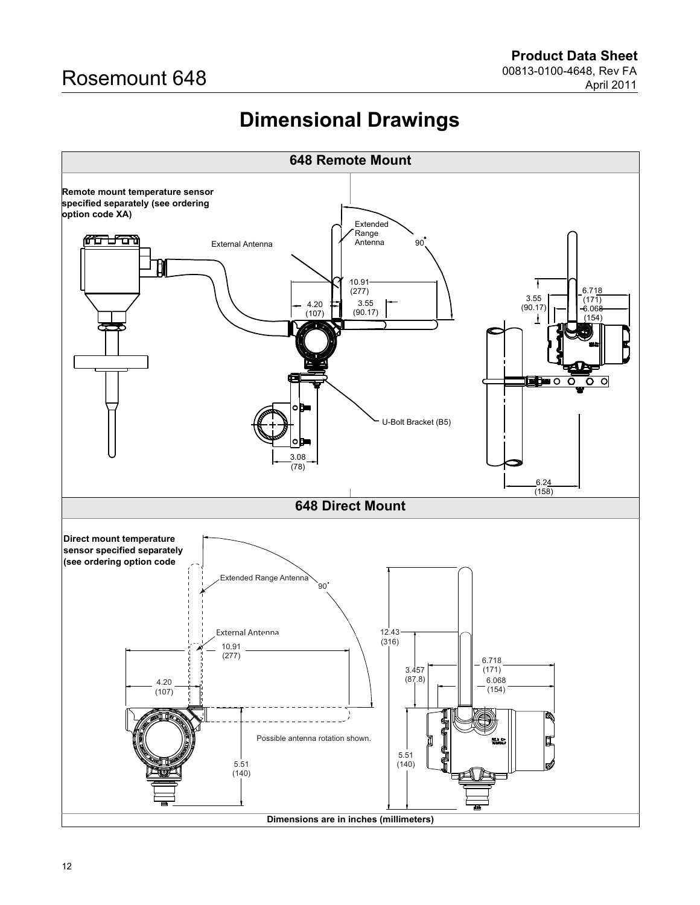# **Dimensional Drawings**

<span id="page-11-0"></span>